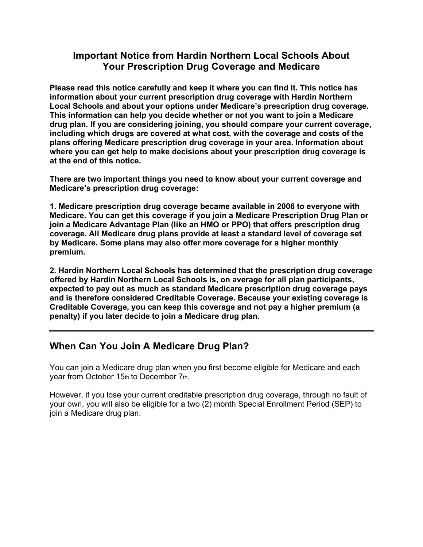### **Important Notice from Hardin Northern Local Schools About Your Prescription Drug Coverage and Medicare**

**Please read this notice carefully and keep it where you can find it. This notice has information about your current prescription drug coverage with Hardin Northern Local Schools and about your options under Medicare's prescription drug coverage. This information can help you decide whether or not you want to join a Medicare drug plan. If you are considering joining, you should compare your current coverage, including which drugs are covered at what cost, with the coverage and costs of the plans offering Medicare prescription drug coverage in your area. Information about where you can get help to make decisions about your prescription drug coverage is at the end of this notice.** 

**There are two important things you need to know about your current coverage and Medicare's prescription drug coverage:** 

**1. Medicare prescription drug coverage became available in 2006 to everyone with Medicare. You can get this coverage if you join a Medicare Prescription Drug Plan or join a Medicare Advantage Plan (like an HMO or PPO) that offers prescription drug coverage. All Medicare drug plans provide at least a standard level of coverage set by Medicare. Some plans may also offer more coverage for a higher monthly premium.** 

**2. Hardin Northern Local Schools has determined that the prescription drug coverage offered by Hardin Northern Local Schools is, on average for all plan participants, expected to pay out as much as standard Medicare prescription drug coverage pays and is therefore considered Creditable Coverage. Because your existing coverage is Creditable Coverage, you can keep this coverage and not pay a higher premium (a penalty) if you later decide to join a Medicare drug plan.** 

#### **When Can You Join A Medicare Drug Plan?**

You can join a Medicare drug plan when you first become eligible for Medicare and each year from October 15th to December 7th.

However, if you lose your current creditable prescription drug coverage, through no fault of your own, you will also be eligible for a two (2) month Special Enrollment Period (SEP) to join a Medicare drug plan.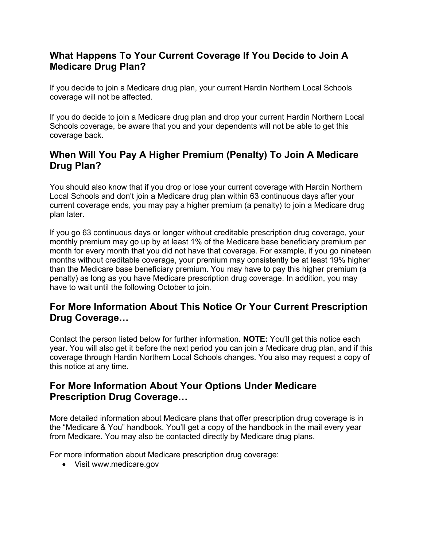# **What Happens To Your Current Coverage If You Decide to Join A Medicare Drug Plan?**

If you decide to join a Medicare drug plan, your current Hardin Northern Local Schools coverage will not be affected.

If you do decide to join a Medicare drug plan and drop your current Hardin Northern Local Schools coverage, be aware that you and your dependents will not be able to get this coverage back.

# **When Will You Pay A Higher Premium (Penalty) To Join A Medicare Drug Plan?**

You should also know that if you drop or lose your current coverage with Hardin Northern Local Schools and don't join a Medicare drug plan within 63 continuous days after your current coverage ends, you may pay a higher premium (a penalty) to join a Medicare drug plan later.

If you go 63 continuous days or longer without creditable prescription drug coverage, your monthly premium may go up by at least 1% of the Medicare base beneficiary premium per month for every month that you did not have that coverage. For example, if you go nineteen months without creditable coverage, your premium may consistently be at least 19% higher than the Medicare base beneficiary premium. You may have to pay this higher premium (a penalty) as long as you have Medicare prescription drug coverage. In addition, you may have to wait until the following October to join.

## **For More Information About This Notice Or Your Current Prescription Drug Coverage…**

Contact the person listed below for further information. **NOTE:** You'll get this notice each year. You will also get it before the next period you can join a Medicare drug plan, and if this coverage through Hardin Northern Local Schools changes. You also may request a copy of this notice at any time.

### **For More Information About Your Options Under Medicare Prescription Drug Coverage…**

More detailed information about Medicare plans that offer prescription drug coverage is in the "Medicare & You" handbook. You'll get a copy of the handbook in the mail every year from Medicare. You may also be contacted directly by Medicare drug plans.

For more information about Medicare prescription drug coverage:

Visit www.medicare.gov